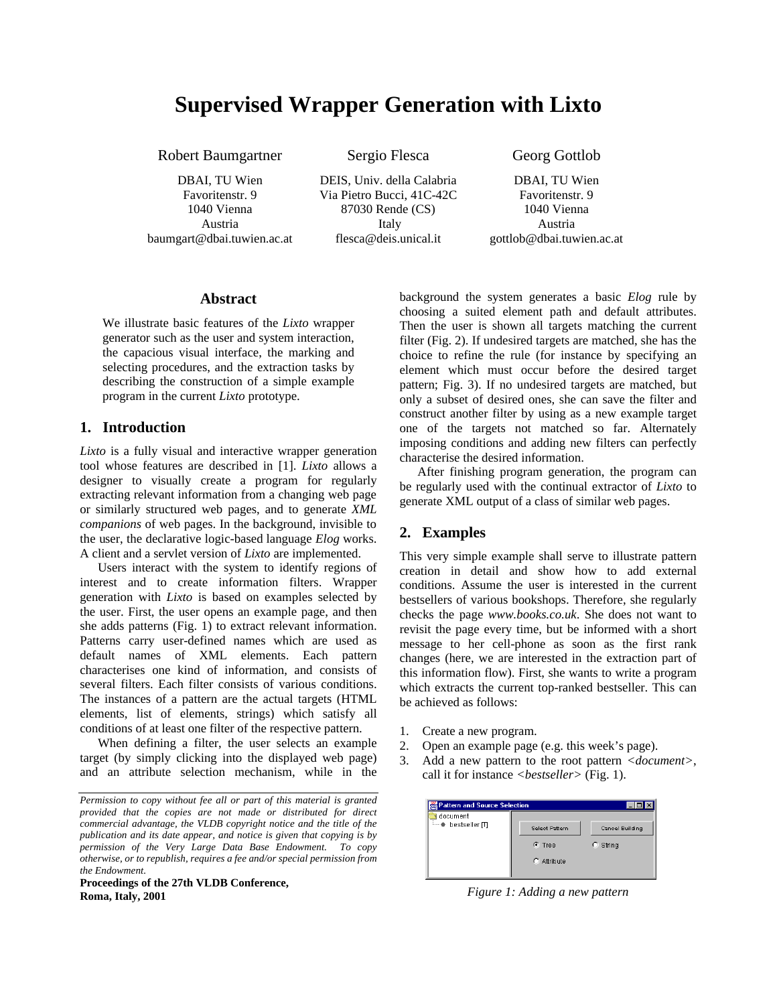# **Supervised Wrapper Generation with Lixto**

Robert Baumgartner

DBAI, TU Wien Favoritenstr. 9 1040 Vienna Austria baumgart@dbai.tuwien.ac.at Sergio Flesca

DEIS, Univ. della Calabria Via Pietro Bucci, 41C-42C 87030 Rende (CS) Italy flesca@deis.unical.it

Georg Gottlob

DBAI, TU Wien Favoritenstr. 9 1040 Vienna Austria gottlob@dbai.tuwien.ac.at

#### **Abstract**

We illustrate basic features of the *Lixto* wrapper generator such as the user and system interaction, the capacious visual interface, the marking and selecting procedures, and the extraction tasks by describing the construction of a simple example program in the current *Lixto* prototype.

#### **1. Introduction**

*Lixto* is a fully visual and interactive wrapper generation tool whose features are described in [1]. *Lixto* allows a designer to visually create a program for regularly extracting relevant information from a changing web page or similarly structured web pages, and to generate *XML companions* of web pages. In the background, invisible to the user, the declarative logic-based language *Elog* works. A client and a servlet version of *Lixto* are implemented.

Users interact with the system to identify regions of interest and to create information filters. Wrapper generation with *Lixto* is based on examples selected by the user. First, the user opens an example page, and then she adds patterns (Fig. 1) to extract relevant information. Patterns carry user-defined names which are used as default names of XML elements. Each pattern characterises one kind of information, and consists of several filters. Each filter consists of various conditions. The instances of a pattern are the actual targets (HTML elements, list of elements, strings) which satisfy all conditions of at least one filter of the respective pattern.

When defining a filter, the user selects an example target (by simply clicking into the displayed web page) and an attribute selection mechanism, while in the

**Proceedings of the 27th VLDB Conference, Roma, Italy, 2001**

background the system generates a basic *Elog* rule by choosing a suited element path and default attributes. Then the user is shown all targets matching the current filter (Fig. 2). If undesired targets are matched, she has the choice to refine the rule (for instance by specifying an element which must occur before the desired target pattern; Fig. 3). If no undesired targets are matched, but only a subset of desired ones, she can save the filter and construct another filter by using as a new example target one of the targets not matched so far. Alternately imposing conditions and adding new filters can perfectly characterise the desired information.

After finishing program generation, the program can be regularly used with the continual extractor of *Lixto* to generate XML output of a class of similar web pages.

### **2. Examples**

This very simple example shall serve to illustrate pattern creation in detail and show how to add external conditions. Assume the user is interested in the current bestsellers of various bookshops. Therefore, she regularly checks the page *www.books.co.uk*. She does not want to revisit the page every time, but be informed with a short message to her cell-phone as soon as the first rank changes (here, we are interested in the extraction part of this information flow). First, she wants to write a program which extracts the current top-ranked bestseller. This can be achieved as follows:

- 1. Create a new program.
- 2. Open an example page (e.g. this week's page).
- 3. Add a new pattern to the root pattern *<document>*, call it for instance *<bestseller>* (Fig. 1).

| Pattern and Source Selection |                |                 |
|------------------------------|----------------|-----------------|
| document                     |                |                 |
| bestseller ITI               | Select Pattern | Cancel Building |
|                              | $C$ Tree       | String          |
|                              | $C$ Attribute  |                 |

*Figure 1: Adding a new pattern*

*Permission to copy without fee all or part of this material is granted provided that the copies are not made or distributed for direct commercial advantage, the VLDB copyright notice and the title of the publication and its date appear, and notice is given that copying is by permission of the Very Large Data Base Endowment. To copy otherwise, or to republish, requires a fee and/or special permission from the Endowment.*